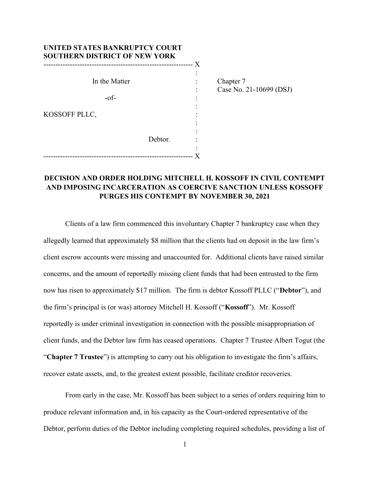| UNITED STATES BANKRUPTCY COURT<br><b>SOUTHERN DISTRICT OF NEW YORK</b> |         |      |                         |
|------------------------------------------------------------------------|---------|------|-------------------------|
|                                                                        |         | -- X |                         |
|                                                                        |         |      |                         |
| In the Matter                                                          |         |      | Chapter 7               |
|                                                                        |         |      | Case No. 21-10699 (DSJ) |
| $-of$ -                                                                |         |      |                         |
|                                                                        |         |      |                         |
| KOSSOFF PLLC,                                                          |         |      |                         |
|                                                                        |         |      |                         |
|                                                                        |         |      |                         |
|                                                                        | Debtor. |      |                         |
|                                                                        |         |      |                         |
|                                                                        |         |      |                         |

# DECISION AND ORDER HOLDING MITCHELL H. KOSSOFF IN CIVIL CONTEMPT AND IMPOSING INCARCERATION AS COERCIVE SANCTION UNLESS KOSSOFF PURGES HIS CONTEMPT BY NOVEMBER 30, 2021

 Clients of a law firm commenced this involuntary Chapter 7 bankruptcy case when they allegedly learned that approximately \$8 million that the clients had on deposit in the law firm's client escrow accounts were missing and unaccounted for. Additional clients have raised similar concerns, and the amount of reportedly missing client funds that had been entrusted to the firm now has risen to approximately \$17 million. The firm is debtor Kossoff PLLC ("Debtor"), and the firm's principal is (or was) attorney Mitchell H. Kossoff ("Kossoff"). Mr. Kossoff reportedly is under criminal investigation in connection with the possible misappropriation of client funds, and the Debtor law firm has ceased operations. Chapter 7 Trustee Albert Togut (the "Chapter 7 Trustee") is attempting to carry out his obligation to investigate the firm's affairs, recover estate assets, and, to the greatest extent possible, facilitate creditor recoveries.

 From early in the case, Mr. Kossoff has been subject to a series of orders requiring him to produce relevant information and, in his capacity as the Court-ordered representative of the Debtor, perform duties of the Debtor including completing required schedules, providing a list of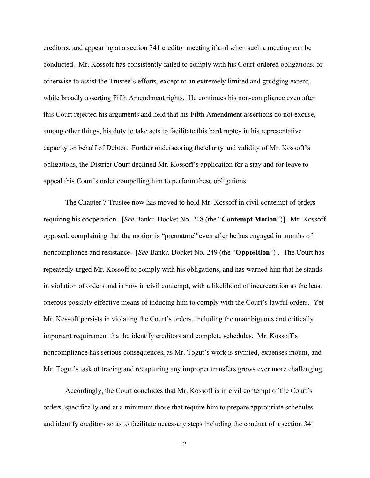creditors, and appearing at a section 341 creditor meeting if and when such a meeting can be conducted. Mr. Kossoff has consistently failed to comply with his Court-ordered obligations, or otherwise to assist the Trustee's efforts, except to an extremely limited and grudging extent, while broadly asserting Fifth Amendment rights. He continues his non-compliance even after this Court rejected his arguments and held that his Fifth Amendment assertions do not excuse, among other things, his duty to take acts to facilitate this bankruptcy in his representative capacity on behalf of Debtor. Further underscoring the clarity and validity of Mr. Kossoff's obligations, the District Court declined Mr. Kossoff's application for a stay and for leave to appeal this Court's order compelling him to perform these obligations.

 The Chapter 7 Trustee now has moved to hold Mr. Kossoff in civil contempt of orders requiring his cooperation. [See Bankr. Docket No. 218 (the "Contempt Motion")]. Mr. Kossoff opposed, complaining that the motion is "premature" even after he has engaged in months of noncompliance and resistance. [See Bankr. Docket No. 249 (the "Opposition")]. The Court has repeatedly urged Mr. Kossoff to comply with his obligations, and has warned him that he stands in violation of orders and is now in civil contempt, with a likelihood of incarceration as the least onerous possibly effective means of inducing him to comply with the Court's lawful orders. Yet Mr. Kossoff persists in violating the Court's orders, including the unambiguous and critically important requirement that he identify creditors and complete schedules. Mr. Kossoff's noncompliance has serious consequences, as Mr. Togut's work is stymied, expenses mount, and Mr. Togut's task of tracing and recapturing any improper transfers grows ever more challenging.

 Accordingly, the Court concludes that Mr. Kossoff is in civil contempt of the Court's orders, specifically and at a minimum those that require him to prepare appropriate schedules and identify creditors so as to facilitate necessary steps including the conduct of a section 341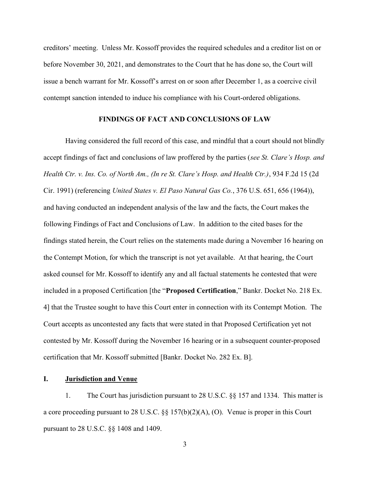creditors' meeting. Unless Mr. Kossoff provides the required schedules and a creditor list on or before November 30, 2021, and demonstrates to the Court that he has done so, the Court will issue a bench warrant for Mr. Kossoff's arrest on or soon after December 1, as a coercive civil contempt sanction intended to induce his compliance with his Court-ordered obligations.

## FINDINGS OF FACT AND CONCLUSIONS OF LAW

Having considered the full record of this case, and mindful that a court should not blindly accept findings of fact and conclusions of law proffered by the parties (see St. Clare's Hosp. and Health Ctr. v. Ins. Co. of North Am., (In re St. Clare's Hosp. and Health Ctr.), 934 F.2d 15 (2d Cir. 1991) (referencing United States v. El Paso Natural Gas Co., 376 U.S. 651, 656 (1964)), and having conducted an independent analysis of the law and the facts, the Court makes the following Findings of Fact and Conclusions of Law. In addition to the cited bases for the findings stated herein, the Court relies on the statements made during a November 16 hearing on the Contempt Motion, for which the transcript is not yet available. At that hearing, the Court asked counsel for Mr. Kossoff to identify any and all factual statements he contested that were included in a proposed Certification [the "Proposed Certification," Bankr. Docket No. 218 Ex. 4] that the Trustee sought to have this Court enter in connection with its Contempt Motion. The Court accepts as uncontested any facts that were stated in that Proposed Certification yet not contested by Mr. Kossoff during the November 16 hearing or in a subsequent counter-proposed certification that Mr. Kossoff submitted [Bankr. Docket No. 282 Ex. B].

## I. Jurisdiction and Venue

1. The Court has jurisdiction pursuant to 28 U.S.C. §§ 157 and 1334. This matter is a core proceeding pursuant to 28 U.S.C.  $\S$  157(b)(2)(A), (O). Venue is proper in this Court pursuant to 28 U.S.C. §§ 1408 and 1409.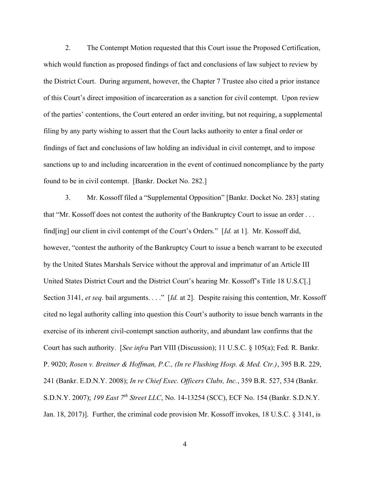2. The Contempt Motion requested that this Court issue the Proposed Certification, which would function as proposed findings of fact and conclusions of law subject to review by the District Court. During argument, however, the Chapter 7 Trustee also cited a prior instance of this Court's direct imposition of incarceration as a sanction for civil contempt. Upon review of the parties' contentions, the Court entered an order inviting, but not requiring, a supplemental filing by any party wishing to assert that the Court lacks authority to enter a final order or findings of fact and conclusions of law holding an individual in civil contempt, and to impose sanctions up to and including incarceration in the event of continued noncompliance by the party found to be in civil contempt. [Bankr. Docket No. 282.]

3. Mr. Kossoff filed a "Supplemental Opposition" [Bankr. Docket No. 283] stating that "Mr. Kossoff does not contest the authority of the Bankruptcy Court to issue an order . . . find[ing] our client in civil contempt of the Court's Orders."  $\left[ Id. \right]$  at 1.]. Mr. Kossoff did, however, "contest the authority of the Bankruptcy Court to issue a bench warrant to be executed by the United States Marshals Service without the approval and imprimatur of an Article III United States District Court and the District Court's hearing Mr. Kossoff's Title 18 U.S.C[.] Section 3141, et seq. bail arguments. . . ." [Id. at 2]. Despite raising this contention, Mr. Kossoff cited no legal authority calling into question this Court's authority to issue bench warrants in the exercise of its inherent civil-contempt sanction authority, and abundant law confirms that the Court has such authority. [See infra Part VIII (Discussion); 11 U.S.C. § 105(a); Fed. R. Bankr. P. 9020; Rosen v. Breitner & Hoffman, P.C., (In re Flushing Hosp. & Med. Ctr.), 395 B.R. 229, 241 (Bankr. E.D.N.Y. 2008); In re Chief Exec. Officers Clubs, Inc., 359 B.R. 527, 534 (Bankr. S.D.N.Y. 2007); 199 East 7<sup>th</sup> Street LLC, No. 14-13254 (SCC), ECF No. 154 (Bankr. S.D.N.Y. Jan. 18, 2017)]. Further, the criminal code provision Mr. Kossoff invokes, 18 U.S.C. § 3141, is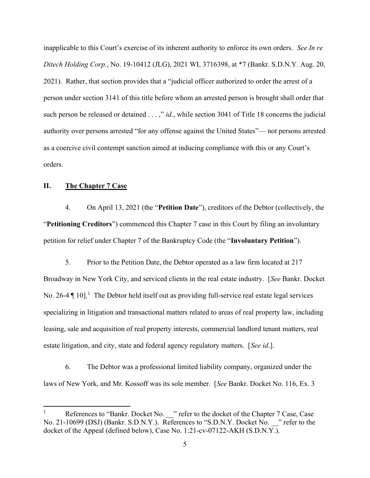inapplicable to this Court's exercise of its inherent authority to enforce its own orders. See In re Ditech Holding Corp., No. 19-10412 (JLG), 2021 WL 3716398, at \*7 (Bankr. S.D.N.Y. Aug. 20, 2021). Rather, that section provides that a "judicial officer authorized to order the arrest of a person under section 3141 of this title before whom an arrested person is brought shall order that such person be released or detained . . . ," id., while section 3041 of Title 18 concerns the judicial authority over persons arrested "for any offense against the United States"— not persons arrested as a coercive civil contempt sanction aimed at inducing compliance with this or any Court's orders.

## II. The Chapter 7 Case

4. On April 13, 2021 (the "Petition Date"), creditors of the Debtor (collectively, the "Petitioning Creditors") commenced this Chapter 7 case in this Court by filing an involuntary petition for relief under Chapter 7 of the Bankruptcy Code (the "Involuntary Petition").

5. Prior to the Petition Date, the Debtor operated as a law firm located at 217 Broadway in New York City, and serviced clients in the real estate industry. [See Bankr. Docket No. 26-4  $\P$  10].<sup>1</sup> The Debtor held itself out as providing full-service real estate legal services specializing in litigation and transactional matters related to areas of real property law, including leasing, sale and acquisition of real property interests, commercial landlord tenant matters, real estate litigation, and city, state and federal agency regulatory matters. [See id.].

6. The Debtor was a professional limited liability company, organized under the laws of New York, and Mr. Kossoff was its sole member. [See Bankr. Docket No. 116, Ex. 3

References to "Bankr. Docket No. \_\_" refer to the docket of the Chapter 7 Case, Case No. 21-10699 (DSJ) (Bankr. S.D.N.Y.). References to "S.D.N.Y. Docket No. <sup>21</sup> refer to the docket of the Appeal (defined below), Case No. 1:21-cv-07122-AKH (S.D.N.Y.).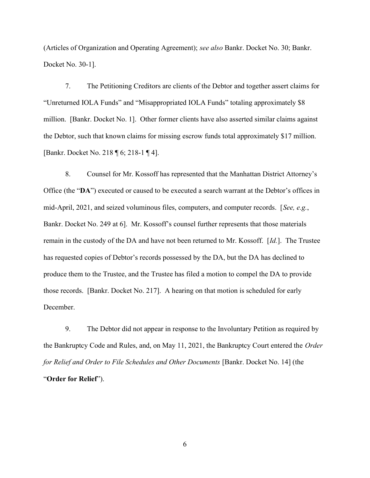(Articles of Organization and Operating Agreement); see also Bankr. Docket No. 30; Bankr. Docket No. 30-1].

7. The Petitioning Creditors are clients of the Debtor and together assert claims for "Unreturned IOLA Funds" and "Misappropriated IOLA Funds" totaling approximately \$8 million. [Bankr. Docket No. 1]. Other former clients have also asserted similar claims against the Debtor, such that known claims for missing escrow funds total approximately \$17 million. [Bankr. Docket No. 218 ¶ 6; 218-1 ¶ 4].

8. Counsel for Mr. Kossoff has represented that the Manhattan District Attorney's Office (the "DA") executed or caused to be executed a search warrant at the Debtor's offices in mid-April, 2021, and seized voluminous files, computers, and computer records. [See, e.g., Bankr. Docket No. 249 at 6]. Mr. Kossoff's counsel further represents that those materials remain in the custody of the DA and have not been returned to Mr. Kossoff. [Id.]. The Trustee has requested copies of Debtor's records possessed by the DA, but the DA has declined to produce them to the Trustee, and the Trustee has filed a motion to compel the DA to provide those records. [Bankr. Docket No. 217]. A hearing on that motion is scheduled for early December.

9. The Debtor did not appear in response to the Involuntary Petition as required by the Bankruptcy Code and Rules, and, on May 11, 2021, the Bankruptcy Court entered the Order for Relief and Order to File Schedules and Other Documents [Bankr. Docket No. 14] (the "Order for Relief").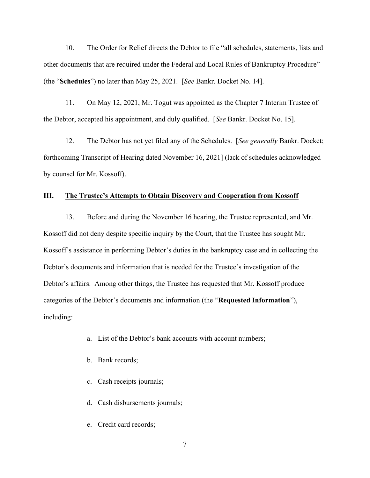10. The Order for Relief directs the Debtor to file "all schedules, statements, lists and other documents that are required under the Federal and Local Rules of Bankruptcy Procedure" (the "Schedules") no later than May 25, 2021. [See Bankr. Docket No. 14].

11. On May 12, 2021, Mr. Togut was appointed as the Chapter 7 Interim Trustee of the Debtor, accepted his appointment, and duly qualified. [See Bankr. Docket No. 15].

12. The Debtor has not yet filed any of the Schedules. [See generally Bankr. Docket; forthcoming Transcript of Hearing dated November 16, 2021] (lack of schedules acknowledged by counsel for Mr. Kossoff).

## III. The Trustee's Attempts to Obtain Discovery and Cooperation from Kossoff

13. Before and during the November 16 hearing, the Trustee represented, and Mr. Kossoff did not deny despite specific inquiry by the Court, that the Trustee has sought Mr. Kossoff's assistance in performing Debtor's duties in the bankruptcy case and in collecting the Debtor's documents and information that is needed for the Trustee's investigation of the Debtor's affairs. Among other things, the Trustee has requested that Mr. Kossoff produce categories of the Debtor's documents and information (the "Requested Information"), including:

- a. List of the Debtor's bank accounts with account numbers;
- b. Bank records;
- c. Cash receipts journals;
- d. Cash disbursements journals;
- e. Credit card records;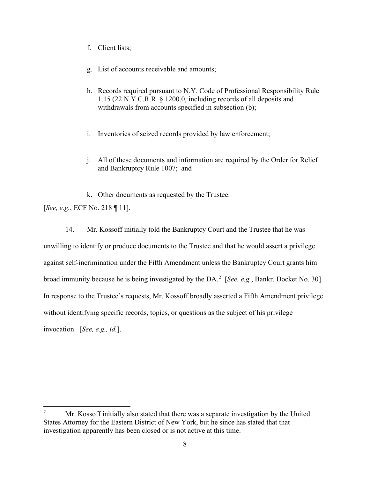- f. Client lists;
- g. List of accounts receivable and amounts;
- h. Records required pursuant to N.Y. Code of Professional Responsibility Rule 1.15 (22 N.Y.C.R.R. § 1200.0, including records of all deposits and withdrawals from accounts specified in subsection (b);
- i. Inventories of seized records provided by law enforcement;
- j. All of these documents and information are required by the Order for Relief and Bankruptcy Rule 1007; and

k. Other documents as requested by the Trustee. [See, e.g., ECF No. 218 ¶ 11].

14. Mr. Kossoff initially told the Bankruptcy Court and the Trustee that he was unwilling to identify or produce documents to the Trustee and that he would assert a privilege against self-incrimination under the Fifth Amendment unless the Bankruptcy Court grants him broad immunity because he is being investigated by the DA.<sup>2</sup> [See, e.g., Bankr. Docket No. 30]. In response to the Trustee's requests, Mr. Kossoff broadly asserted a Fifth Amendment privilege without identifying specific records, topics, or questions as the subject of his privilege invocation. [See, e.g., id.].

<sup>&</sup>lt;sup>2</sup> Mr. Kossoff initially also stated that there was a separate investigation by the United States Attorney for the Eastern District of New York, but he since has stated that that investigation apparently has been closed or is not active at this time.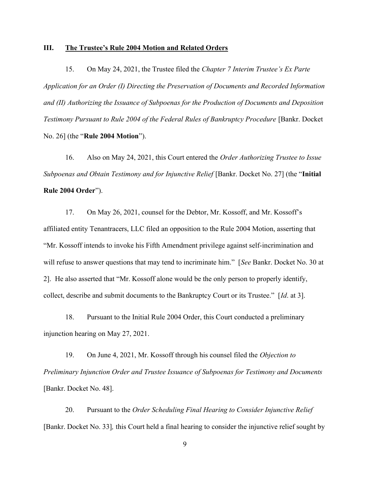#### III. The Trustee's Rule 2004 Motion and Related Orders

15. On May 24, 2021, the Trustee filed the Chapter 7 Interim Trustee's Ex Parte Application for an Order (I) Directing the Preservation of Documents and Recorded Information and (II) Authorizing the Issuance of Subpoenas for the Production of Documents and Deposition Testimony Pursuant to Rule 2004 of the Federal Rules of Bankruptcy Procedure [Bankr. Docket No. 26] (the "Rule 2004 Motion").

16. Also on May 24, 2021, this Court entered the Order Authorizing Trustee to Issue Subpoenas and Obtain Testimony and for Injunctive Relief [Bankr. Docket No. 27] (the "Initial Rule 2004 Order").

17. On May 26, 2021, counsel for the Debtor, Mr. Kossoff, and Mr. Kossoff's affiliated entity Tenantracers, LLC filed an opposition to the Rule 2004 Motion, asserting that "Mr. Kossoff intends to invoke his Fifth Amendment privilege against self-incrimination and will refuse to answer questions that may tend to incriminate him." [See Bankr. Docket No. 30 at 2]. He also asserted that "Mr. Kossoff alone would be the only person to properly identify, collect, describe and submit documents to the Bankruptcy Court or its Trustee." [Id. at 3].

18. Pursuant to the Initial Rule 2004 Order, this Court conducted a preliminary injunction hearing on May 27, 2021.

19. On June 4, 2021, Mr. Kossoff through his counsel filed the Objection to Preliminary Injunction Order and Trustee Issuance of Subpoenas for Testimony and Documents [Bankr. Docket No. 48].

20. Pursuant to the Order Scheduling Final Hearing to Consider Injunctive Relief [Bankr. Docket No. 33], this Court held a final hearing to consider the injunctive relief sought by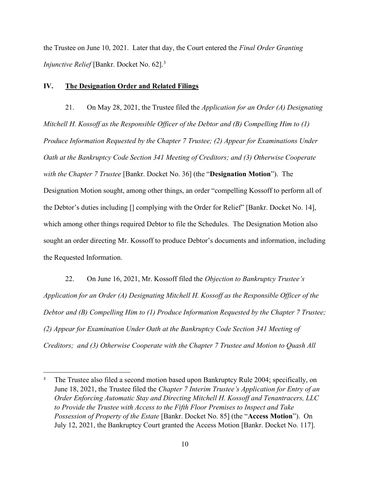the Trustee on June 10, 2021. Later that day, the Court entered the Final Order Granting Injunctive Relief [Bankr. Docket No. 62].<sup>3</sup>

#### IV. The Designation Order and Related Filings

21. On May 28, 2021, the Trustee filed the *Application for an Order (A) Designating* Mitchell H. Kossoff as the Responsible Officer of the Debtor and (B) Compelling Him to (1) Produce Information Requested by the Chapter 7 Trustee; (2) Appear for Examinations Under Oath at the Bankruptcy Code Section 341 Meeting of Creditors; and (3) Otherwise Cooperate with the Chapter 7 Trustee [Bankr. Docket No. 36] (the "Designation Motion"). The Designation Motion sought, among other things, an order "compelling Kossoff to perform all of the Debtor's duties including [] complying with the Order for Relief" [Bankr. Docket No. 14], which among other things required Debtor to file the Schedules. The Designation Motion also sought an order directing Mr. Kossoff to produce Debtor's documents and information, including the Requested Information.

22. On June 16, 2021, Mr. Kossoff filed the *Objection to Bankruptcy Trustee's* Application for an Order (A) Designating Mitchell H. Kossoff as the Responsible Officer of the Debtor and (B) Compelling Him to (1) Produce Information Requested by the Chapter 7 Trustee; (2) Appear for Examination Under Oath at the Bankruptcy Code Section 341 Meeting of Creditors; and (3) Otherwise Cooperate with the Chapter 7 Trustee and Motion to Quash All

<sup>&</sup>lt;sup>3</sup> The Trustee also filed a second motion based upon Bankruptcy Rule 2004; specifically, on June 18, 2021, the Trustee filed the *Chapter 7 Interim Trustee's Application for Entry of an* Order Enforcing Automatic Stay and Directing Mitchell H. Kossoff and Tenantracers, LLC to Provide the Trustee with Access to the Fifth Floor Premises to Inspect and Take Possession of Property of the Estate [Bankr. Docket No. 85] (the "Access Motion"). On July 12, 2021, the Bankruptcy Court granted the Access Motion [Bankr. Docket No. 117].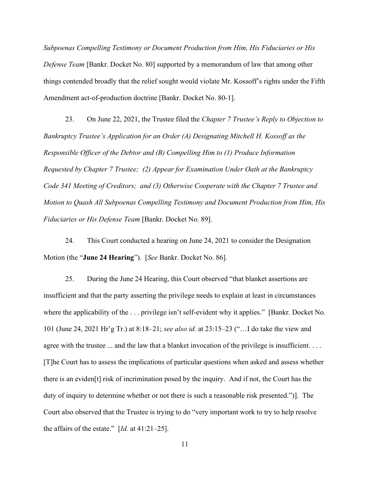Subpoenas Compelling Testimony or Document Production from Him, His Fiduciaries or His Defense Team [Bankr. Docket No. 80] supported by a memorandum of law that among other things contended broadly that the relief sought would violate Mr. Kossoff's rights under the Fifth Amendment act-of-production doctrine [Bankr. Docket No. 80-1].

23. On June 22, 2021, the Trustee filed the Chapter 7 Trustee's Reply to Objection to Bankruptcy Trustee's Application for an Order (A) Designating Mitchell H. Kossoff as the Responsible Officer of the Debtor and (B) Compelling Him to (1) Produce Information Requested by Chapter 7 Trustee; (2) Appear for Examination Under Oath at the Bankruptcy Code 341 Meeting of Creditors; and (3) Otherwise Cooperate with the Chapter 7 Trustee and Motion to Quash All Subpoenas Compelling Testimony and Document Production from Him, His Fiduciaries or His Defense Team [Bankr. Docket No. 89].

24. This Court conducted a hearing on June 24, 2021 to consider the Designation Motion (the "June 24 Hearing"). [See Bankr. Docket No. 86].

25. During the June 24 Hearing, this Court observed "that blanket assertions are insufficient and that the party asserting the privilege needs to explain at least in circumstances where the applicability of the ... privilege isn't self-evident why it applies." [Bankr. Docket No.] 101 (June 24, 2021 Hr'g Tr.) at 8:18–21; see also id. at 23:15–23 ("…I do take the view and agree with the trustee ... and the law that a blanket invocation of the privilege is insufficient. . . . [T]he Court has to assess the implications of particular questions when asked and assess whether there is an eviden[t] risk of incrimination posed by the inquiry. And if not, the Court has the duty of inquiry to determine whether or not there is such a reasonable risk presented.")]. The Court also observed that the Trustee is trying to do "very important work to try to help resolve the affairs of the estate."  $\left[ Id. \right]$  at 41:21–25].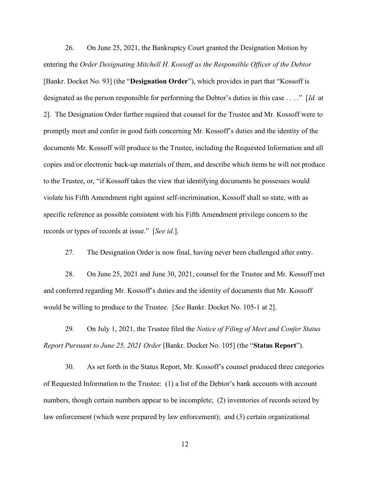26. On June 25, 2021, the Bankruptcy Court granted the Designation Motion by entering the Order Designating Mitchell H. Kossoff as the Responsible Officer of the Debtor [Bankr. Docket No. 93] (the "Designation Order"), which provides in part that "Kossoff is designated as the person responsible for performing the Debtor's duties in this case . . . ." [Id. at 2]. The Designation Order further required that counsel for the Trustee and Mr. Kossoff were to promptly meet and confer in good faith concerning Mr. Kossoff's duties and the identity of the documents Mr. Kossoff will produce to the Trustee, including the Requested Information and all copies and/or electronic back-up materials of them, and describe which items he will not produce to the Trustee, or, "if Kossoff takes the view that identifying documents he possesses would violate his Fifth Amendment right against self-incrimination, Kossoff shall so state, with as specific reference as possible consistent with his Fifth Amendment privilege concern to the records or types of records at issue." [See id.].

27. The Designation Order is now final, having never been challenged after entry.

28. On June 25, 2021 and June 30, 2021, counsel for the Trustee and Mr. Kossoff met and conferred regarding Mr. Kossoff's duties and the identity of documents that Mr. Kossoff would be willing to produce to the Trustee. [See Bankr. Docket No. 105-1 at 2].

29. On July 1, 2021, the Trustee filed the Notice of Filing of Meet and Confer Status Report Pursuant to June 25, 2021 Order [Bankr. Docket No. 105] (the "Status Report").

30. As set forth in the Status Report, Mr. Kossoff's counsel produced three categories of Requested Information to the Trustee: (1) a list of the Debtor's bank accounts with account numbers, though certain numbers appear to be incomplete; (2) inventories of records seized by law enforcement (which were prepared by law enforcement); and (3) certain organizational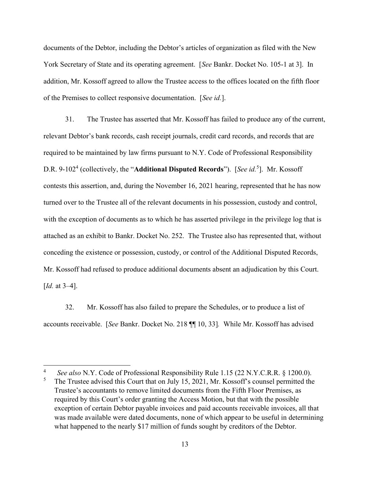documents of the Debtor, including the Debtor's articles of organization as filed with the New York Secretary of State and its operating agreement. [See Bankr. Docket No. 105-1 at 3]. In addition, Mr. Kossoff agreed to allow the Trustee access to the offices located on the fifth floor of the Premises to collect responsive documentation. [See id.].

31. The Trustee has asserted that Mr. Kossoff has failed to produce any of the current, relevant Debtor's bank records, cash receipt journals, credit card records, and records that are required to be maintained by law firms pursuant to N.Y. Code of Professional Responsibility D.R. 9-102<sup>4</sup> (collectively, the "Additional Disputed Records"). [See id.<sup>5</sup>]. Mr. Kossoff contests this assertion, and, during the November 16, 2021 hearing, represented that he has now turned over to the Trustee all of the relevant documents in his possession, custody and control, with the exception of documents as to which he has asserted privilege in the privilege log that is attached as an exhibit to Bankr. Docket No. 252. The Trustee also has represented that, without conceding the existence or possession, custody, or control of the Additional Disputed Records, Mr. Kossoff had refused to produce additional documents absent an adjudication by this Court. [*Id.* at 3–4].

32. Mr. Kossoff has also failed to prepare the Schedules, or to produce a list of accounts receivable. [See Bankr. Docket No. 218 ¶¶ 10, 33]. While Mr. Kossoff has advised

See also N.Y. Code of Professional Responsibility Rule 1.15 (22 N.Y.C.R.R. § 1200.0).

<sup>5</sup> The Trustee advised this Court that on July 15, 2021, Mr. Kossoff's counsel permitted the Trustee's accountants to remove limited documents from the Fifth Floor Premises, as required by this Court's order granting the Access Motion, but that with the possible exception of certain Debtor payable invoices and paid accounts receivable invoices, all that was made available were dated documents, none of which appear to be useful in determining what happened to the nearly \$17 million of funds sought by creditors of the Debtor.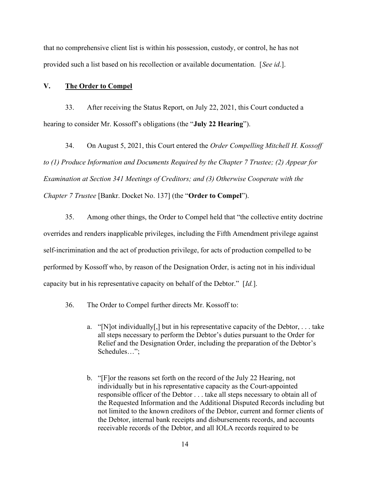that no comprehensive client list is within his possession, custody, or control, he has not provided such a list based on his recollection or available documentation. [See id.].

#### V. The Order to Compel

33. After receiving the Status Report, on July 22, 2021, this Court conducted a hearing to consider Mr. Kossoff's obligations (the "**July 22 Hearing**").

34. On August 5, 2021, this Court entered the Order Compelling Mitchell H. Kossoff to (1) Produce Information and Documents Required by the Chapter 7 Trustee; (2) Appear for Examination at Section 341 Meetings of Creditors; and (3) Otherwise Cooperate with the Chapter 7 Trustee [Bankr. Docket No. 137] (the "Order to Compel").

35. Among other things, the Order to Compel held that "the collective entity doctrine overrides and renders inapplicable privileges, including the Fifth Amendment privilege against self-incrimination and the act of production privilege, for acts of production compelled to be performed by Kossoff who, by reason of the Designation Order, is acting not in his individual capacity but in his representative capacity on behalf of the Debtor." [Id.].

- 36. The Order to Compel further directs Mr. Kossoff to:
	- a. "[N] ot individually[,] but in his representative capacity of the Debtor,  $\dots$  take all steps necessary to perform the Debtor's duties pursuant to the Order for Relief and the Designation Order, including the preparation of the Debtor's Schedules…";
	- b. "[F]or the reasons set forth on the record of the July 22 Hearing, not individually but in his representative capacity as the Court-appointed responsible officer of the Debtor . . . take all steps necessary to obtain all of the Requested Information and the Additional Disputed Records including but not limited to the known creditors of the Debtor, current and former clients of the Debtor, internal bank receipts and disbursements records, and accounts receivable records of the Debtor, and all IOLA records required to be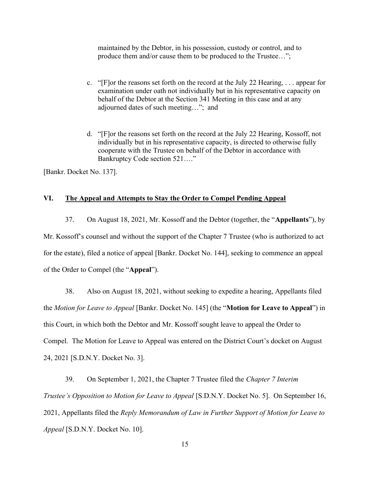maintained by the Debtor, in his possession, custody or control, and to produce them and/or cause them to be produced to the Trustee…";

- c. "[F]or the reasons set forth on the record at the July 22 Hearing, . . . appear for examination under oath not individually but in his representative capacity on behalf of the Debtor at the Section 341 Meeting in this case and at any adjourned dates of such meeting…"; and
- d. "[F]or the reasons set forth on the record at the July 22 Hearing, Kossoff, not individually but in his representative capacity, is directed to otherwise fully cooperate with the Trustee on behalf of the Debtor in accordance with Bankruptcy Code section 521…."

[Bankr. Docket No. 137].

## VI. The Appeal and Attempts to Stay the Order to Compel Pending Appeal

37. On August 18, 2021, Mr. Kossoff and the Debtor (together, the "Appellants"), by Mr. Kossoff's counsel and without the support of the Chapter 7 Trustee (who is authorized to act for the estate), filed a notice of appeal [Bankr. Docket No. 144], seeking to commence an appeal of the Order to Compel (the "Appeal").

38. Also on August 18, 2021, without seeking to expedite a hearing, Appellants filed the *Motion for Leave to Appeal* [Bankr. Docket No. 145] (the "**Motion for Leave to Appeal**") in this Court, in which both the Debtor and Mr. Kossoff sought leave to appeal the Order to Compel. The Motion for Leave to Appeal was entered on the District Court's docket on August 24, 2021 [S.D.N.Y. Docket No. 3].

39. On September 1, 2021, the Chapter 7 Trustee filed the Chapter 7 Interim Trustee's Opposition to Motion for Leave to Appeal [S.D.N.Y. Docket No. 5]. On September 16, 2021, Appellants filed the Reply Memorandum of Law in Further Support of Motion for Leave to Appeal [S.D.N.Y. Docket No. 10].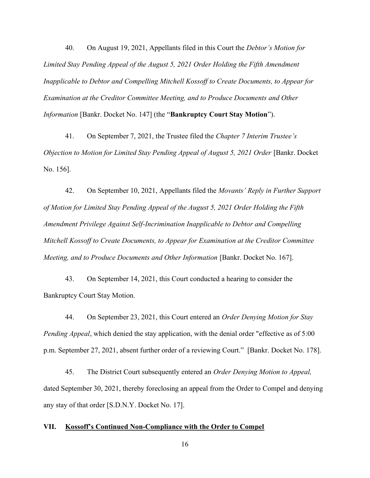40. On August 19, 2021, Appellants filed in this Court the Debtor's Motion for Limited Stay Pending Appeal of the August 5, 2021 Order Holding the Fifth Amendment Inapplicable to Debtor and Compelling Mitchell Kossoff to Create Documents, to Appear for Examination at the Creditor Committee Meeting, and to Produce Documents and Other Information [Bankr. Docket No. 147] (the "Bankruptcy Court Stay Motion").

41. On September 7, 2021, the Trustee filed the Chapter 7 Interim Trustee's Objection to Motion for Limited Stay Pending Appeal of August 5, 2021 Order [Bankr. Docket No. 156].

42. On September 10, 2021, Appellants filed the Movants' Reply in Further Support of Motion for Limited Stay Pending Appeal of the August 5, 2021 Order Holding the Fifth Amendment Privilege Against Self-Incrimination Inapplicable to Debtor and Compelling Mitchell Kossoff to Create Documents, to Appear for Examination at the Creditor Committee Meeting, and to Produce Documents and Other Information [Bankr. Docket No. 167].

43. On September 14, 2021, this Court conducted a hearing to consider the Bankruptcy Court Stay Motion.

44. On September 23, 2021, this Court entered an *Order Denving Motion for Stav* Pending Appeal, which denied the stay application, with the denial order "effective as of 5:00 p.m. September 27, 2021, absent further order of a reviewing Court." [Bankr. Docket No. 178].

45. The District Court subsequently entered an *Order Denying Motion to Appeal*, dated September 30, 2021, thereby foreclosing an appeal from the Order to Compel and denying any stay of that order [S.D.N.Y. Docket No. 17].

#### VII. Kossoff's Continued Non-Compliance with the Order to Compel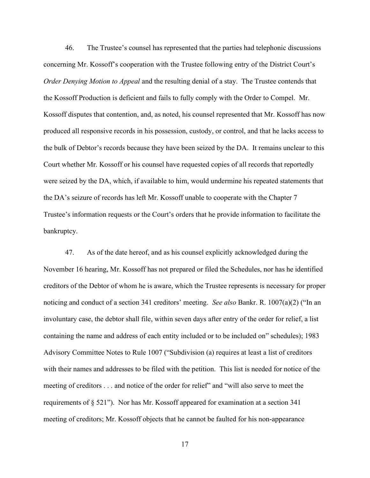46. The Trustee's counsel has represented that the parties had telephonic discussions concerning Mr. Kossoff's cooperation with the Trustee following entry of the District Court's Order Denying Motion to Appeal and the resulting denial of a stay. The Trustee contends that the Kossoff Production is deficient and fails to fully comply with the Order to Compel. Mr. Kossoff disputes that contention, and, as noted, his counsel represented that Mr. Kossoff has now produced all responsive records in his possession, custody, or control, and that he lacks access to the bulk of Debtor's records because they have been seized by the DA. It remains unclear to this Court whether Mr. Kossoff or his counsel have requested copies of all records that reportedly were seized by the DA, which, if available to him, would undermine his repeated statements that the DA's seizure of records has left Mr. Kossoff unable to cooperate with the Chapter 7 Trustee's information requests or the Court's orders that he provide information to facilitate the bankruptcy.

47. As of the date hereof, and as his counsel explicitly acknowledged during the November 16 hearing, Mr. Kossoff has not prepared or filed the Schedules, nor has he identified creditors of the Debtor of whom he is aware, which the Trustee represents is necessary for proper noticing and conduct of a section 341 creditors' meeting. See also Bankr. R. 1007(a)(2) ("In an involuntary case, the debtor shall file, within seven days after entry of the order for relief, a list containing the name and address of each entity included or to be included on" schedules); 1983 Advisory Committee Notes to Rule 1007 ("Subdivision (a) requires at least a list of creditors with their names and addresses to be filed with the petition. This list is needed for notice of the meeting of creditors . . . and notice of the order for relief" and "will also serve to meet the requirements of § 521"). Nor has Mr. Kossoff appeared for examination at a section 341 meeting of creditors; Mr. Kossoff objects that he cannot be faulted for his non-appearance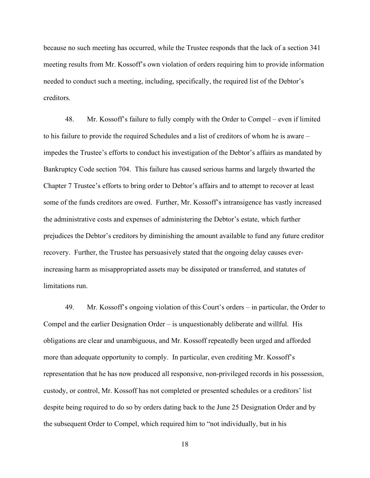because no such meeting has occurred, while the Trustee responds that the lack of a section 341 meeting results from Mr. Kossoff's own violation of orders requiring him to provide information needed to conduct such a meeting, including, specifically, the required list of the Debtor's creditors.

48. Mr. Kossoff's failure to fully comply with the Order to Compel – even if limited to his failure to provide the required Schedules and a list of creditors of whom he is aware – impedes the Trustee's efforts to conduct his investigation of the Debtor's affairs as mandated by Bankruptcy Code section 704. This failure has caused serious harms and largely thwarted the Chapter 7 Trustee's efforts to bring order to Debtor's affairs and to attempt to recover at least some of the funds creditors are owed. Further, Mr. Kossoff's intransigence has vastly increased the administrative costs and expenses of administering the Debtor's estate, which further prejudices the Debtor's creditors by diminishing the amount available to fund any future creditor recovery. Further, the Trustee has persuasively stated that the ongoing delay causes everincreasing harm as misappropriated assets may be dissipated or transferred, and statutes of limitations run.

49. Mr. Kossoff's ongoing violation of this Court's orders – in particular, the Order to Compel and the earlier Designation Order – is unquestionably deliberate and willful. His obligations are clear and unambiguous, and Mr. Kossoff repeatedly been urged and afforded more than adequate opportunity to comply. In particular, even crediting Mr. Kossoff's representation that he has now produced all responsive, non-privileged records in his possession, custody, or control, Mr. Kossoff has not completed or presented schedules or a creditors' list despite being required to do so by orders dating back to the June 25 Designation Order and by the subsequent Order to Compel, which required him to "not individually, but in his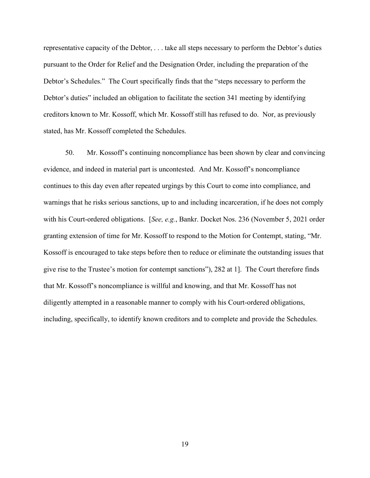representative capacity of the Debtor, . . . take all steps necessary to perform the Debtor's duties pursuant to the Order for Relief and the Designation Order, including the preparation of the Debtor's Schedules." The Court specifically finds that the "steps necessary to perform the Debtor's duties" included an obligation to facilitate the section 341 meeting by identifying creditors known to Mr. Kossoff, which Mr. Kossoff still has refused to do. Nor, as previously stated, has Mr. Kossoff completed the Schedules.

50. Mr. Kossoff's continuing noncompliance has been shown by clear and convincing evidence, and indeed in material part is uncontested. And Mr. Kossoff's noncompliance continues to this day even after repeated urgings by this Court to come into compliance, and warnings that he risks serious sanctions, up to and including incarceration, if he does not comply with his Court-ordered obligations. [See, e.g., Bankr. Docket Nos. 236 (November 5, 2021 order granting extension of time for Mr. Kossoff to respond to the Motion for Contempt, stating, "Mr. Kossoff is encouraged to take steps before then to reduce or eliminate the outstanding issues that give rise to the Trustee's motion for contempt sanctions"), 282 at 1]. The Court therefore finds that Mr. Kossoff's noncompliance is willful and knowing, and that Mr. Kossoff has not diligently attempted in a reasonable manner to comply with his Court-ordered obligations, including, specifically, to identify known creditors and to complete and provide the Schedules.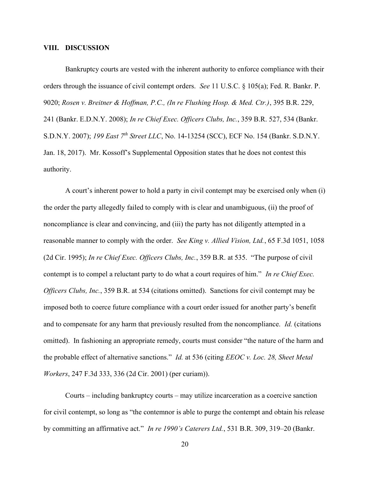#### VIII. DISCUSSION

Bankruptcy courts are vested with the inherent authority to enforce compliance with their orders through the issuance of civil contempt orders. See 11 U.S.C. § 105(a); Fed. R. Bankr. P. 9020; Rosen v. Breitner & Hoffman, P.C., (In re Flushing Hosp. & Med. Ctr.), 395 B.R. 229, 241 (Bankr. E.D.N.Y. 2008); In re Chief Exec. Officers Clubs, Inc., 359 B.R. 527, 534 (Bankr. S.D.N.Y. 2007); 199 East 7<sup>th</sup> Street LLC, No. 14-13254 (SCC), ECF No. 154 (Bankr. S.D.N.Y. Jan. 18, 2017). Mr. Kossoff's Supplemental Opposition states that he does not contest this authority.

A court's inherent power to hold a party in civil contempt may be exercised only when (i) the order the party allegedly failed to comply with is clear and unambiguous, (ii) the proof of noncompliance is clear and convincing, and (iii) the party has not diligently attempted in a reasonable manner to comply with the order. See King v. Allied Vision, Ltd., 65 F.3d 1051, 1058 (2d Cir. 1995); In re Chief Exec. Officers Clubs, Inc., 359 B.R. at 535. "The purpose of civil contempt is to compel a reluctant party to do what a court requires of him." In re Chief Exec. Officers Clubs, Inc., 359 B.R. at 534 (citations omitted). Sanctions for civil contempt may be imposed both to coerce future compliance with a court order issued for another party's benefit and to compensate for any harm that previously resulted from the noncompliance. Id. (citations omitted). In fashioning an appropriate remedy, courts must consider "the nature of the harm and the probable effect of alternative sanctions." *Id.* at 536 (citing  $EEOC$  v. Loc. 28, Sheet Metal Workers, 247 F.3d 333, 336 (2d Cir. 2001) (per curiam)).

Courts – including bankruptcy courts – may utilize incarceration as a coercive sanction for civil contempt, so long as "the contemnor is able to purge the contempt and obtain his release by committing an affirmative act." In re 1990's Caterers Ltd., 531 B.R. 309, 319–20 (Bankr.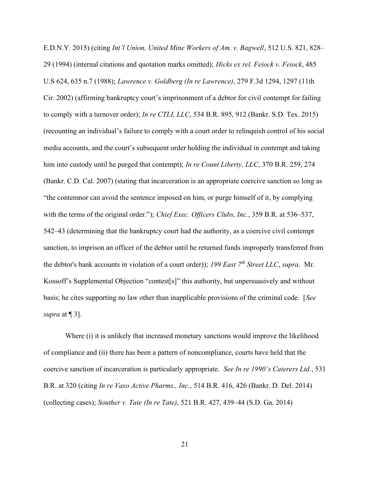E.D.N.Y. 2015) (citing Int'l Union, United Mine Workers of Am. v. Bagwell, 512 U.S. 821, 828– 29 (1994) (internal citations and quotation marks omitted); Hicks ex rel. Feiock v. Feiock, 485 U.S 624, 635 n.7 (1988); Lawrence v. Goldberg (In re Lawrence), 279 F.3d 1294, 1297 (11th Cir. 2002) (affirming bankruptcy court's imprisonment of a debtor for civil contempt for failing to comply with a turnover order); *In re CTLI, LLC*, 534 B.R. 895, 912 (Bankr. S.D. Tex. 2015) (recounting an individual's failure to comply with a court order to relinquish control of his social media accounts, and the court's subsequent order holding the individual in contempt and taking him into custody until he purged that contempt); *In re Count Liberty*, *LLC*, 370 B.R. 259, 274 (Bankr. C.D. Cal. 2007) (stating that incarceration is an appropriate coercive sanction so long as "the contemnor can avoid the sentence imposed on him, or purge himself of it, by complying with the terms of the original order."); *Chief Exec. Officers Clubs, Inc.*, 359 B.R. at 536–537, 542–43 (determining that the bankruptcy court had the authority, as a coercive civil contempt sanction, to imprison an officer of the debtor until he returned funds improperly transferred from the debtor's bank accounts in violation of a court order)); 199 East  $7<sup>th</sup>$  Street LLC, supra. Mr. Kossoff's Supplemental Objection "contest[s]" this authority, but unpersuasively and without basis; he cites supporting no law other than inapplicable provisions of the criminal code. [See supra at  $\P$  3].

Where (i) it is unlikely that increased monetary sanctions would improve the likelihood of compliance and (ii) there has been a pattern of noncompliance, courts have held that the coercive sanction of incarceration is particularly appropriate. See In re 1990's Caterers Ltd., 531 B.R. at 320 (citing In re Vaso Active Pharms., Inc., 514 B.R. 416, 426 (Bankr. D. Del. 2014) (collecting cases); Souther v. Tate (In re Tate), 521 B.R. 427, 439–44 (S.D. Ga. 2014)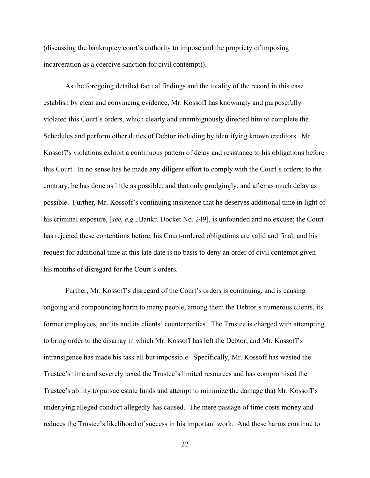(discussing the bankruptcy court's authority to impose and the propriety of imposing incarceration as a coercive sanction for civil contempt)).

As the foregoing detailed factual findings and the totality of the record in this case establish by clear and convincing evidence, Mr. Kossoff has knowingly and purposefully violated this Court's orders, which clearly and unambiguously directed him to complete the Schedules and perform other duties of Debtor including by identifying known creditors. Mr. Kossoff's violations exhibit a continuous pattern of delay and resistance to his obligations before this Court. In no sense has he made any diligent effort to comply with the Court's orders; to the contrary, he has done as little as possible, and that only grudgingly, and after as much delay as possible. Further, Mr. Kossoff's continuing insistence that he deserves additional time in light of his criminal exposure, [see, e.g., Bankr. Docket No. 249], is unfounded and no excuse; the Court has rejected these contentions before, his Court-ordered obligations are valid and final, and his request for additional time at this late date is no basis to deny an order of civil contempt given his months of disregard for the Court's orders.

Further, Mr. Kossoff's disregard of the Court's orders is continuing, and is causing ongoing and compounding harm to many people, among them the Debtor's numerous clients, its former employees, and its and its clients' counterparties. The Trustee is charged with attempting to bring order to the disarray in which Mr. Kossoff has left the Debtor, and Mr. Kossoff's intransigence has made his task all but impossible. Specifically, Mr. Kossoff has wasted the Trustee's time and severely taxed the Trustee's limited resources and has compromised the Trustee's ability to pursue estate funds and attempt to minimize the damage that Mr. Kossoff's underlying alleged conduct allegedly has caused. The mere passage of time costs money and reduces the Trustee's likelihood of success in his important work. And these harms continue to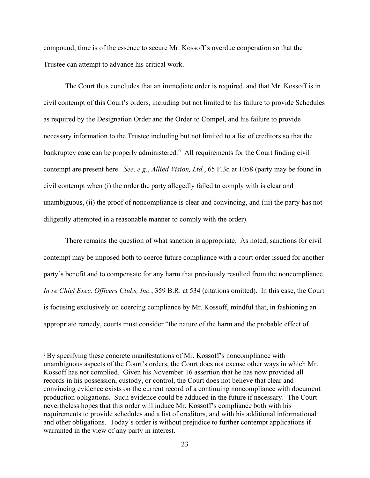compound; time is of the essence to secure Mr. Kossoff's overdue cooperation so that the Trustee can attempt to advance his critical work.

The Court thus concludes that an immediate order is required, and that Mr. Kossoff is in civil contempt of this Court's orders, including but not limited to his failure to provide Schedules as required by the Designation Order and the Order to Compel, and his failure to provide necessary information to the Trustee including but not limited to a list of creditors so that the bankruptcy case can be properly administered.<sup>6</sup> All requirements for the Court finding civil contempt are present here. See, e.g., Allied Vision, Ltd., 65 F.3d at 1058 (party may be found in civil contempt when (i) the order the party allegedly failed to comply with is clear and unambiguous, (ii) the proof of noncompliance is clear and convincing, and (iii) the party has not diligently attempted in a reasonable manner to comply with the order).

There remains the question of what sanction is appropriate. As noted, sanctions for civil contempt may be imposed both to coerce future compliance with a court order issued for another party's benefit and to compensate for any harm that previously resulted from the noncompliance. In re Chief Exec. Officers Clubs, Inc., 359 B.R. at 534 (citations omitted). In this case, the Court is focusing exclusively on coercing compliance by Mr. Kossoff, mindful that, in fashioning an appropriate remedy, courts must consider "the nature of the harm and the probable effect of

<sup>6</sup> By specifying these concrete manifestations of Mr. Kossoff's noncompliance with unambiguous aspects of the Court's orders, the Court does not excuse other ways in which Mr. Kossoff has not complied. Given his November 16 assertion that he has now provided all records in his possession, custody, or control, the Court does not believe that clear and convincing evidence exists on the current record of a continuing noncompliance with document production obligations. Such evidence could be adduced in the future if necessary. The Court nevertheless hopes that this order will induce Mr. Kossoff's compliance both with his requirements to provide schedules and a list of creditors, and with his additional informational and other obligations. Today's order is without prejudice to further contempt applications if warranted in the view of any party in interest.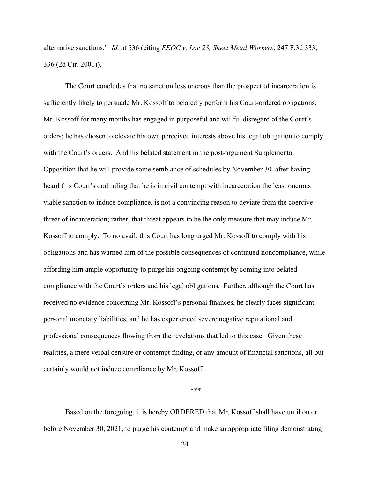alternative sanctions." Id. at 536 (citing EEOC v. Loc 28, Sheet Metal Workers, 247 F.3d 333, 336 (2d Cir. 2001)).

The Court concludes that no sanction less onerous than the prospect of incarceration is sufficiently likely to persuade Mr. Kossoff to belatedly perform his Court-ordered obligations. Mr. Kossoff for many months has engaged in purposeful and willful disregard of the Court's orders; he has chosen to elevate his own perceived interests above his legal obligation to comply with the Court's orders. And his belated statement in the post-argument Supplemental Opposition that he will provide some semblance of schedules by November 30, after having heard this Court's oral ruling that he is in civil contempt with incarceration the least onerous viable sanction to induce compliance, is not a convincing reason to deviate from the coercive threat of incarceration; rather, that threat appears to be the only measure that may induce Mr. Kossoff to comply. To no avail, this Court has long urged Mr. Kossoff to comply with his obligations and has warned him of the possible consequences of continued noncompliance, while affording him ample opportunity to purge his ongoing contempt by coming into belated compliance with the Court's orders and his legal obligations. Further, although the Court has received no evidence concerning Mr. Kossoff's personal finances, he clearly faces significant personal monetary liabilities, and he has experienced severe negative reputational and professional consequences flowing from the revelations that led to this case. Given these realities, a mere verbal censure or contempt finding, or any amount of financial sanctions, all but certainly would not induce compliance by Mr. Kossoff.

\*\*\*

Based on the foregoing, it is hereby ORDERED that Mr. Kossoff shall have until on or before November 30, 2021, to purge his contempt and make an appropriate filing demonstrating